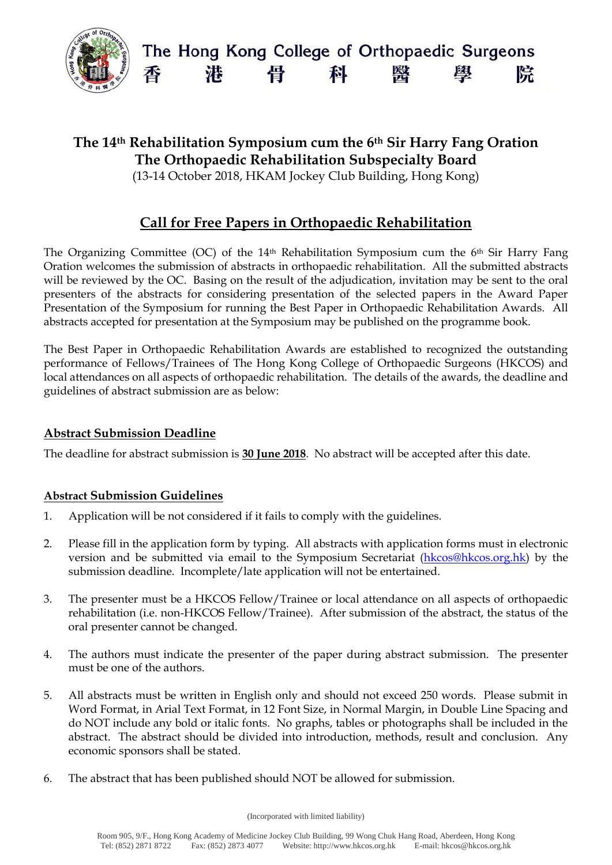

# **The 14th Rehabilitation Symposium cum the 6th Sir Harry Fang Oration The Orthopaedic Rehabilitation Subspecialty Board**

(13-14 October 2018, HKAM Jockey Club Building, Hong Kong)

# **Call for Free Papers in Orthopaedic Rehabilitation**

The Organizing Committee (OC) of the 14<sup>th</sup> Rehabilitation Symposium cum the 6<sup>th</sup> Sir Harry Fang Oration welcomes the submission of abstracts in orthopaedic rehabilitation. All the submitted abstracts will be reviewed by the OC. Basing on the result of the adjudication, invitation may be sent to the oral presenters of the abstracts for considering presentation of the selected papers in the Award Paper Presentation of the Symposium for running the Best Paper in Orthopaedic Rehabilitation Awards. All abstracts accepted for presentation at the Symposium may be published on the programme book.

The Best Paper in Orthopaedic Rehabilitation Awards are established to recognized the outstanding performance of Fellows/Trainees of The Hong Kong College of Orthopaedic Surgeons (HKCOS) and local attendances on all aspects of orthopaedic rehabilitation. The details of the awards, the deadline and guidelines of abstract submission are as below:

## **Abstract Submission Deadline**

The deadline for abstract submission is **30 June 2018**. No abstract will be accepted after this date.

### **Abstract Submission Guidelines**

- 1. Application will be not considered if it fails to comply with the guidelines.
- 2. Please fill in the application form by typing. All abstracts with application forms must in electronic version and be submitted via email to the Symposium Secretariat [\(hkcos@hkcos.org.hk\)](mailto:hkcos@hkcos.org.hk) by the submission deadline. Incomplete/late application will not be entertained.
- 3. The presenter must be a HKCOS Fellow/Trainee or local attendance on all aspects of orthopaedic rehabilitation (i.e. non-HKCOS Fellow/Trainee). After submission of the abstract, the status of the oral presenter cannot be changed.
- 4. The authors must indicate the presenter of the paper during abstract submission. The presenter must be one of the authors.
- 5. All abstracts must be written in English only and should not exceed 250 words. Please submit in Word Format, in Arial Text Format, in 12 Font Size, in Normal Margin, in Double Line Spacing and do NOT include any bold or italic fonts. No graphs, tables or photographs shall be included in the abstract. The abstract should be divided into introduction, methods, result and conclusion. Any economic sponsors shall be stated.
- 6. The abstract that has been published should NOT be allowed for submission.